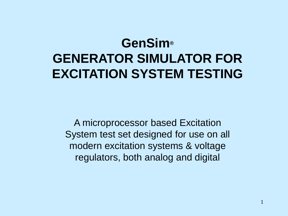## **GenSim® GENERATOR SIMULATOR FOR EXCITATION SYSTEM TESTING**

A microprocessor based Excitation System test set designed for use on all modern excitation systems & voltage regulators, both analog and digital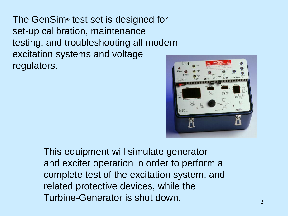The GenSim® test set is designed for set-up calibration, maintenance testing, and troubleshooting all modern excitation systems and voltage regulators.



This equipment will simulate generator and exciter operation in order to perform a complete test of the excitation system, and related protective devices, while the Turbine-Generator is shut down.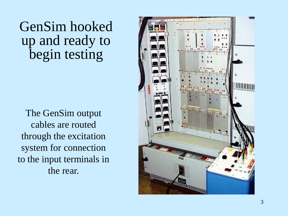GenSim hooked up and ready to begin testing

The GenSim output cables are routed through the excitation system for connection to the input terminals in the rear.

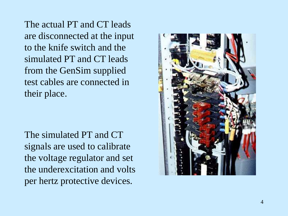The actual PT and CT leads are disconnected at the input to the knife switch and the simulated PT and CT leads from the GenSim supplied test cables are connected in their place.

The simulated PT and CT signals are used to calibrate the voltage regulator and set the underexcitation and volts per hertz protective devices.

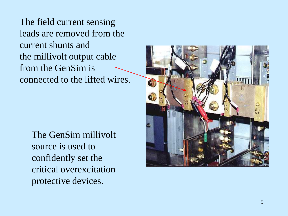The field current sensing leads are removed from the current shunts and the millivolt output cable from the GenSim is connected to the lifted wires.

> The GenSim millivolt source is used to confidently set the critical overexcitation protective devices.

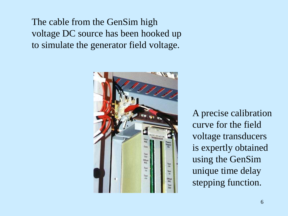The cable from the GenSim high voltage DC source has been hooked up to simulate the generator field voltage.



A precise calibration curve for the field voltage transducers is expertly obtained using the GenSim unique time delay stepping function.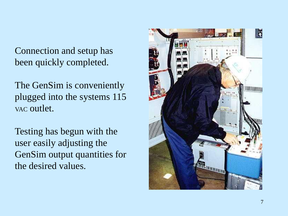Connection and setup has been quickly completed.

The GenSim is conveniently plugged into the systems 115 VAC outlet.

Testing has begun with the user easily adjusting the GenSim output quantities for the desired values.

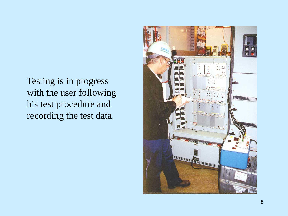Testing is in progress with the user following his test procedure and recording the test data.

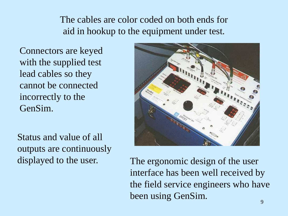## The cables are color coded on both ends for aid in hookup to the equipment under test.

Connectors are keyed with the supplied test lead cables so they cannot be connected incorrectly to the GenSim.

Status and value of all outputs are continuously displayed to the user.



The ergonomic design of the user interface has been well received by the field service engineers who have been using GenSim.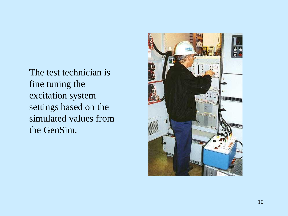The test technician is fine tuning the excitation system settings based on the simulated values from the GenSim.